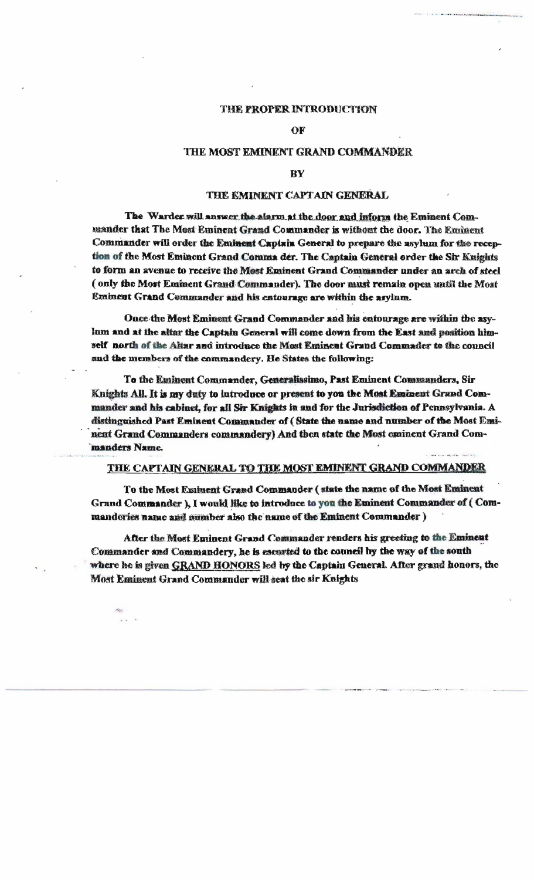## THE PROPER INTRODUCTION

### OF

# THE MOST EMINENT GRAND COMMANDER

#### BY

## THE EMINENT CAPTAIN GENERAL

The Warder will answer the alarm at the door and inform the Eminent Commander that The Most Eminent Grand Commander is without the door. The Eminent Commander will order the Eminent Captain General to prepare the asylum for the reception of the Most Eminent Grand Comma der. The Cantain General order the Six Kuights to form an avenue to receive the Most Eminent Grand Commander under an arch of steel (only the Most Eminent Grand-Commander). The door must remain open until the Most Eminent Grand Commander and his entourage are within the asylum.

Once the Most Eminent Grand Commander and his entourage are within the asylum and at the after the Captain General will come down from the East and position himself north of the Aliar and introduce the Most Eminent Grand Commader to the council and the members of the commandery. He States the following:

To the Eminent Commander, Generalissimo, Past Eminent Commanders. Sir Knights All. It is my duty to introduce or present to you the Most Emineut Grand Commander and his cabinet, for all Sir Knights in and for the Jurisdiction of Pennsylvania. A distinguished Past Eminent Commander of (State the name and number of the Most Eminent Grand Commanders commandery) And then state the Most eminent Grand Commanders Name.

# THE CAPTAIN GENERAL TO THE MOST EMINENT GRAND COMMANDER

To the Most Eminent Grand Commander (state the name of the Most Eminent Grand Commander), I would like to introduce to you the Eminent Commander of (Commanderies name and number also the name of the Eminent Commander)

After the Most Eminent Grand Commander renders his greeting to the Eminent Commander and Commandery, he is escorted to the council by the way of the south where he is given GRAND HONORS led by the Captain General. After grand honors, the Most Eminent Grand Commander will seat the sir Knights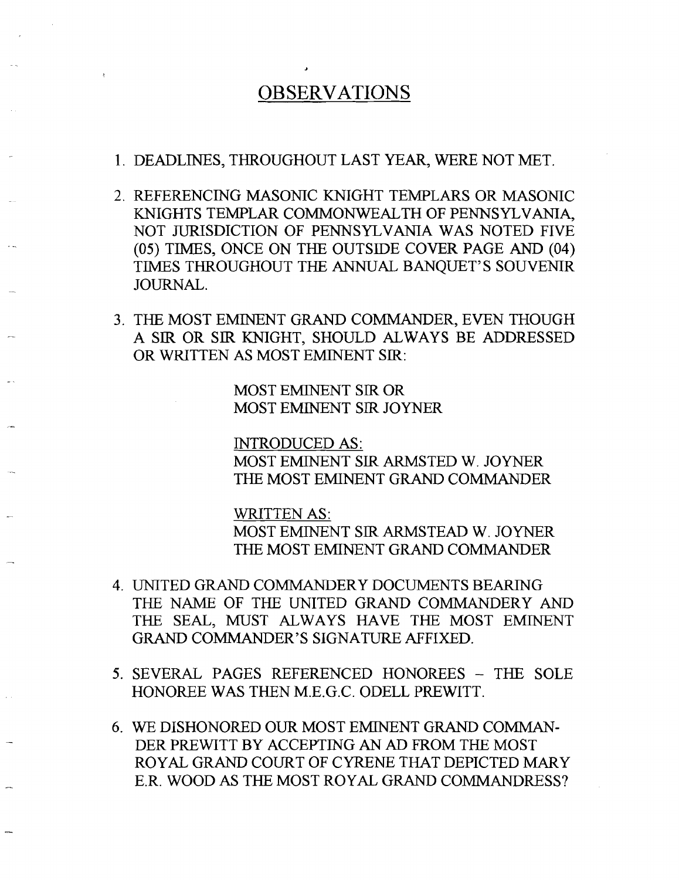# OBSERVATIONS

- 1. DEADLINES, THROUGHOUT LAST YEAR, WERE NOT MET.
- 2. REFERENCING MASONIC KNIGHT TEMPLARS OR MASONIC KNIGHTS TEMPLAR COMMONWEALTH OF PENNSYLVANIA, NOT JURISDICTION OF PENNSYLVANIA WAS NOTED FIVE (05) TIMES, ONCE ON THE OUTSIDE COVER PAGE AND (04) TIMES THROUGHOUT THE ANNUAL BANQUET'S SOUVENIR JOURNAL.
- 3. THE MOST EMINENT GRAND COMMANDER, EVEN THOUGH A SIR OR SIR KNIGHT, SHOULD ALWAYS BE ADDRESSED OR WRITTEN AS MOST EMINENT SIR:

MOST EMINENT SIR OR MOST EMINENT SIR JOYNER

INTRODUCED AS: MOST EMINENT SIR ARMSTED W. JOYNER THE MOST EMINENT GRAND COMMANDER

WRITTEN AS:

MOST EMINENT SIR ARMSTEAD W. JOYNER THE MOST EMINENT GRAND COMMANDER

- 4. UNITED GRAND COMMANDERY DOClJMENTS BEARING THE NAME OF THE UNITED GRAND COMMANDERY AND THE SEAL, MUST ALWAYS HAVE THE MOST EMINENT GRAND COMMANDER'S SIGNATURE AFFIXED.
- 5. SEVERAL PAGES REFERENCED HONOREES THE SOLE HONOREE WAS THEN M.E.G.C. ODELL PREWITT.
- 6. WE DISHONORED OUR MOST EMINENT GRAND COMMAN-DER PREWITT BY ACCEPTING AN AD FROM THE MOST ROYAL GRAND COURT OF CYRENE THAT DEPICTED MARY E.R. WOOD AS THE MOST ROYAL GRAND COMMANDRESS?